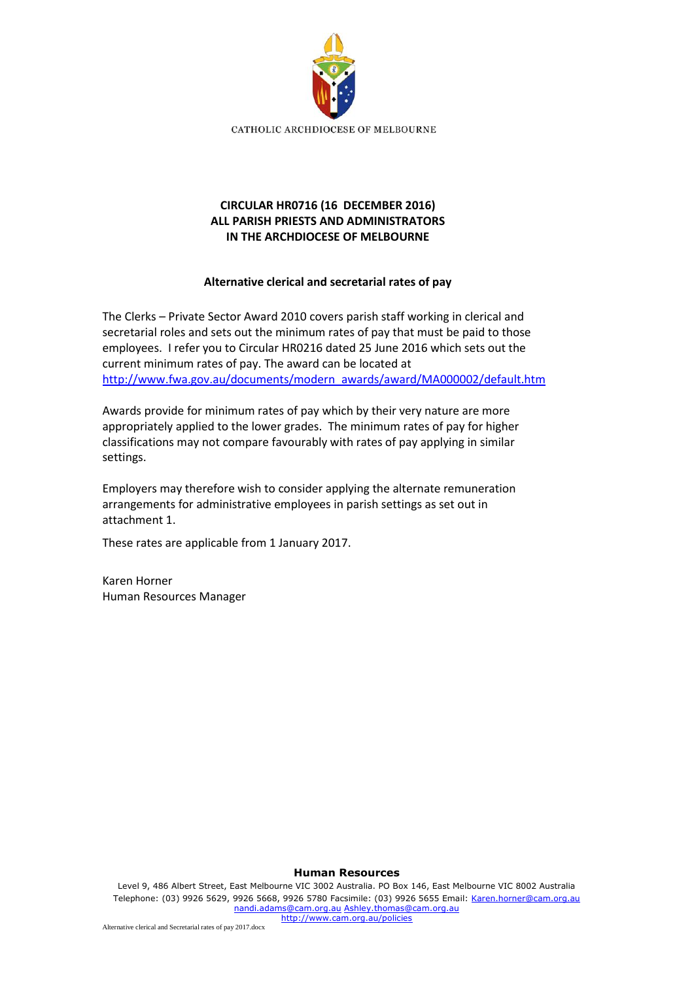

# **CIRCULAR HR0716 (16 DECEMBER 2016) ALL PARISH PRIESTS AND ADMINISTRATORS IN THE ARCHDIOCESE OF MELBOURNE**

## **Alternative clerical and secretarial rates of pay**

The Clerks – Private Sector Award 2010 covers parish staff working in clerical and secretarial roles and sets out the minimum rates of pay that must be paid to those employees. I refer you to Circular HR0216 dated 25 June 2016 which sets out the current minimum rates of pay. The award can be located at [http://www.fwa.gov.au/documents/modern\\_awards/award/MA000002/default.htm](http://www.fwa.gov.au/documents/modern_awards/award/MA000002/default.htm)

Awards provide for minimum rates of pay which by their very nature are more appropriately applied to the lower grades. The minimum rates of pay for higher classifications may not compare favourably with rates of pay applying in similar settings.

Employers may therefore wish to consider applying the alternate remuneration arrangements for administrative employees in parish settings as set out in attachment 1.

These rates are applicable from 1 January 2017.

Karen Horner Human Resources Manager

#### **Human Resources**

Level 9, 486 Albert Street, East Melbourne VIC 3002 Australia. PO Box 146, East Melbourne VIC 8002 Australia Telephone: (03) 9926 5629, 9926 5668, 9926 5780 Facsimile: (03) 9926 5655 Email: [Karen.horner@cam.org.au](mailto:Karen.horner@cam.org.au) [nandi.adams@cam.org.au](mailto:nandi.adams@cam.org.au) [Ashley.thomas@cam.org.au](mailto:Ashley.thomas@cam.org.au)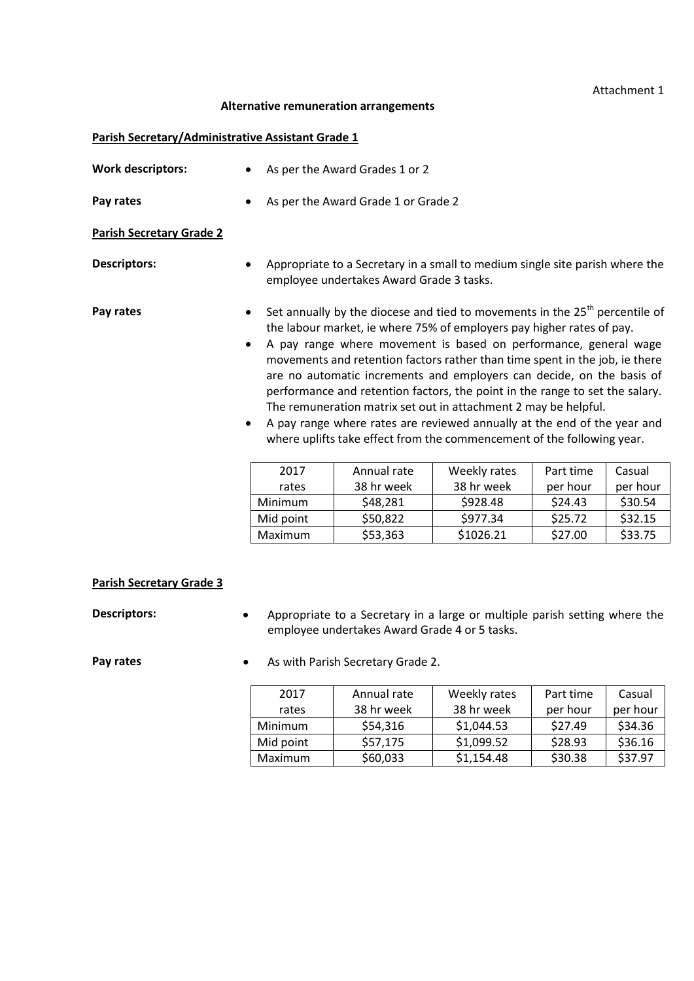### Attachment 1

#### **Alternative remuneration arrangements**

#### **Parish Secretary/Administrative Assistant Grade 1**

| <b>Work descriptors:</b>        |                                                                                                                                                                                                                                                                                                                                                                                                                                                                                                                                                                                                                                                                                             | As per the Award Grades 1 or 2                                                                                           |              |           |          |
|---------------------------------|---------------------------------------------------------------------------------------------------------------------------------------------------------------------------------------------------------------------------------------------------------------------------------------------------------------------------------------------------------------------------------------------------------------------------------------------------------------------------------------------------------------------------------------------------------------------------------------------------------------------------------------------------------------------------------------------|--------------------------------------------------------------------------------------------------------------------------|--------------|-----------|----------|
| Pay rates                       |                                                                                                                                                                                                                                                                                                                                                                                                                                                                                                                                                                                                                                                                                             | As per the Award Grade 1 or Grade 2                                                                                      |              |           |          |
| <b>Parish Secretary Grade 2</b> |                                                                                                                                                                                                                                                                                                                                                                                                                                                                                                                                                                                                                                                                                             |                                                                                                                          |              |           |          |
| <b>Descriptors:</b>             |                                                                                                                                                                                                                                                                                                                                                                                                                                                                                                                                                                                                                                                                                             | Appropriate to a Secretary in a small to medium single site parish where the<br>employee undertakes Award Grade 3 tasks. |              |           |          |
| Pay rates<br>٠<br>$\bullet$     | Set annually by the diocese and tied to movements in the $25th$ percentile of<br>the labour market, ie where 75% of employers pay higher rates of pay.<br>A pay range where movement is based on performance, general wage<br>movements and retention factors rather than time spent in the job, ie there<br>are no automatic increments and employers can decide, on the basis of<br>performance and retention factors, the point in the range to set the salary.<br>The remuneration matrix set out in attachment 2 may be helpful.<br>A pay range where rates are reviewed annually at the end of the year and<br>where uplifts take effect from the commencement of the following year. |                                                                                                                          |              |           |          |
|                                 | 2017                                                                                                                                                                                                                                                                                                                                                                                                                                                                                                                                                                                                                                                                                        | Annual rate                                                                                                              | Weekly rates | Part time | Casual   |
|                                 | rates                                                                                                                                                                                                                                                                                                                                                                                                                                                                                                                                                                                                                                                                                       | 38 hr week                                                                                                               | 38 hr week   | per hour  | per hour |
|                                 | Minimum                                                                                                                                                                                                                                                                                                                                                                                                                                                                                                                                                                                                                                                                                     | \$48,281                                                                                                                 | \$928.48     | \$24.43   | \$30.54  |
|                                 | Mid point                                                                                                                                                                                                                                                                                                                                                                                                                                                                                                                                                                                                                                                                                   | \$50,822                                                                                                                 | \$977.34     | \$25.72   | \$32.15  |
|                                 | Maximum                                                                                                                                                                                                                                                                                                                                                                                                                                                                                                                                                                                                                                                                                     | \$53,363                                                                                                                 | \$1026.21    | \$27.00   | \$33.75  |

## **Parish Secretary Grade 3**

**Descriptors:** • Appropriate to a Secretary in a large or multiple parish setting where the employee undertakes Award Grade 4 or 5 tasks.

**Pay rates •** As with Parish Secretary Grade 2.

| 2017      | Annual rate | Weekly rates | Part time | Casual   |
|-----------|-------------|--------------|-----------|----------|
| rates     | 38 hr week  | 38 hr week   | per hour  | per hour |
| Minimum   | \$54,316    | \$1,044.53   | \$27.49   | \$34.36  |
| Mid point | \$57,175    | \$1,099.52   | \$28.93   | \$36.16  |
| Maximum   | \$60,033    | \$1,154.48   | \$30.38   | \$37.97  |